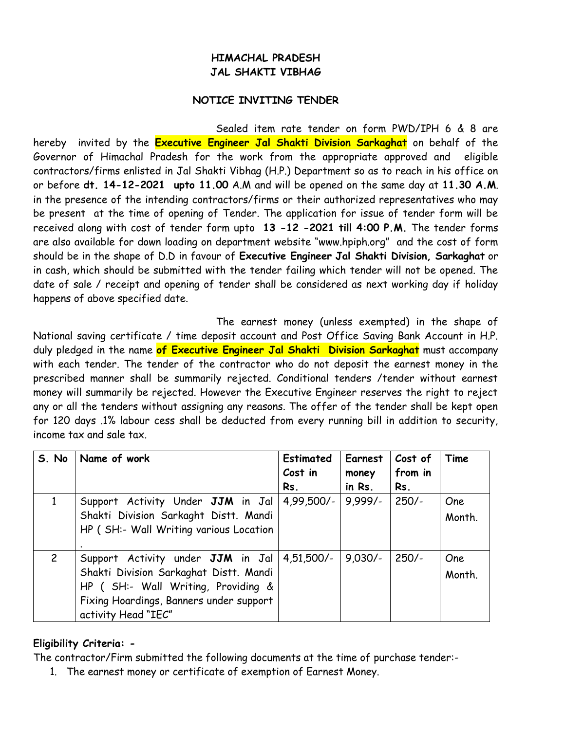## **HIMACHAL PRADESH JAL SHAKTI VIBHAG**

## **NOTICE INVITING TENDER**

Sealed item rate tender on form PWD/IPH 6 & 8 are hereby invited by the **Executive Engineer Jal Shakti Division Sarkaghat** on behalf of the Governor of Himachal Pradesh for the work from the appropriate approved and eligible contractors/firms enlisted in Jal Shakti Vibhag (H.P.) Department so as to reach in his office on or before **dt. 14-12-2021 upto 11.00** A.M and will be opened on the same day at **11.30 A.M**. in the presence of the intending contractors/firms or their authorized representatives who may be present at the time of opening of Tender. The application for issue of tender form will be received along with cost of tender form upto **13 -12 -2021 till 4:00 P.M.** The tender forms are also available for down loading on department website "www.hpiph.org" and the cost of form should be in the shape of D.D in favour of **Executive Engineer Jal Shakti Division, Sarkaghat** or in cash, which should be submitted with the tender failing which tender will not be opened. The date of sale / receipt and opening of tender shall be considered as next working day if holiday happens of above specified date.

The earnest money (unless exempted) in the shape of National saving certificate / time deposit account and Post Office Saving Bank Account in H.P. duly pledged in the name **of Executive Engineer Jal Shakti Division Sarkaghat** must accompany with each tender. The tender of the contractor who do not deposit the earnest money in the prescribed manner shall be summarily rejected. Conditional tenders /tender without earnest money will summarily be rejected. However the Executive Engineer reserves the right to reject any or all the tenders without assigning any reasons. The offer of the tender shall be kept open for 120 days .1% labour cess shall be deducted from every running bill in addition to security, income tax and sale tax.

| S. No          | Name of work                                                                                                                                                                         | Estimated<br>Cost in<br>Rs. | Earnest<br>money<br>in Rs. | Cost of<br>from in<br>Rs. | Time          |
|----------------|--------------------------------------------------------------------------------------------------------------------------------------------------------------------------------------|-----------------------------|----------------------------|---------------------------|---------------|
|                | Support Activity Under JJM in Jal<br>Shakti Division Sarkaght Distt. Mandi<br>HP (SH:- Wall Writing various Location                                                                 | $4.99.500/-$                | $9.999/-$                  | $250/-$                   | One<br>Month. |
| $\overline{2}$ | Support Activity under JJM in Jal<br>Shakti Division Sarkaghat Distt. Mandi<br>HP ( SH:- Wall Writing, Providing &<br>Fixing Hoardings, Banners under support<br>activity Head "IEC" | $4,51,500/-$                | $9.030/-$                  | $250/-$                   | One<br>Month. |

## **Eligibility Criteria: -**

The contractor/Firm submitted the following documents at the time of purchase tender:-

1. The earnest money or certificate of exemption of Earnest Money.